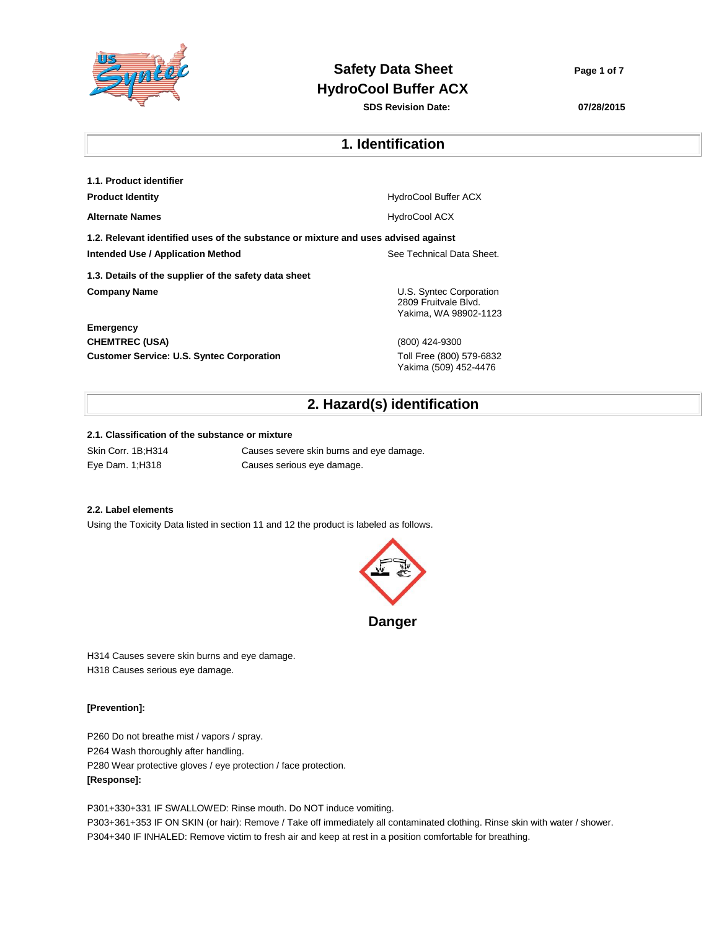

# **Safety Data Sheet Page 1** of 7 **HydroCool Buffer ACX**

**SDS Revision Date: 07/28/2015**

# **1. Identification**

| 1.1. Product identifier                                                            |                                                                          |
|------------------------------------------------------------------------------------|--------------------------------------------------------------------------|
| <b>Product Identity</b>                                                            | <b>HydroCool Buffer ACX</b>                                              |
| <b>Alternate Names</b>                                                             | <b>HydroCool ACX</b>                                                     |
| 1.2. Relevant identified uses of the substance or mixture and uses advised against |                                                                          |
| Intended Use / Application Method                                                  | See Technical Data Sheet.                                                |
| 1.3. Details of the supplier of the safety data sheet                              |                                                                          |
| <b>Company Name</b>                                                                | U.S. Syntec Corporation<br>2809 Fruitvale Blvd.<br>Yakima, WA 98902-1123 |
| <b>Emergency</b>                                                                   |                                                                          |
| <b>CHEMTREC (USA)</b>                                                              | (800) 424-9300                                                           |
| <b>Customer Service: U.S. Syntec Corporation</b>                                   | Toll Free (800) 579-6832<br>Yakima (509) 452-4476                        |

# **2. Hazard(s) identification**

### **2.1. Classification of the substance or mixture**

Skin Corr. 1B;H314 Causes severe skin burns and eye damage. Eye Dam. 1;H318 Causes serious eye damage.

### **2.2. Label elements**

Using the Toxicity Data listed in section 11 and 12 the product is labeled as follows.



H314 Causes severe skin burns and eye damage. H318 Causes serious eye damage.

### **[Prevention]:**

P260 Do not breathe mist / vapors / spray. P264 Wash thoroughly after handling. P280 Wear protective gloves / eye protection / face protection. **[Response]:** 

P301+330+331 IF SWALLOWED: Rinse mouth. Do NOT induce vomiting.

P303+361+353 IF ON SKIN (or hair): Remove / Take off immediately all contaminated clothing. Rinse skin with water / shower. P304+340 IF INHALED: Remove victim to fresh air and keep at rest in a position comfortable for breathing.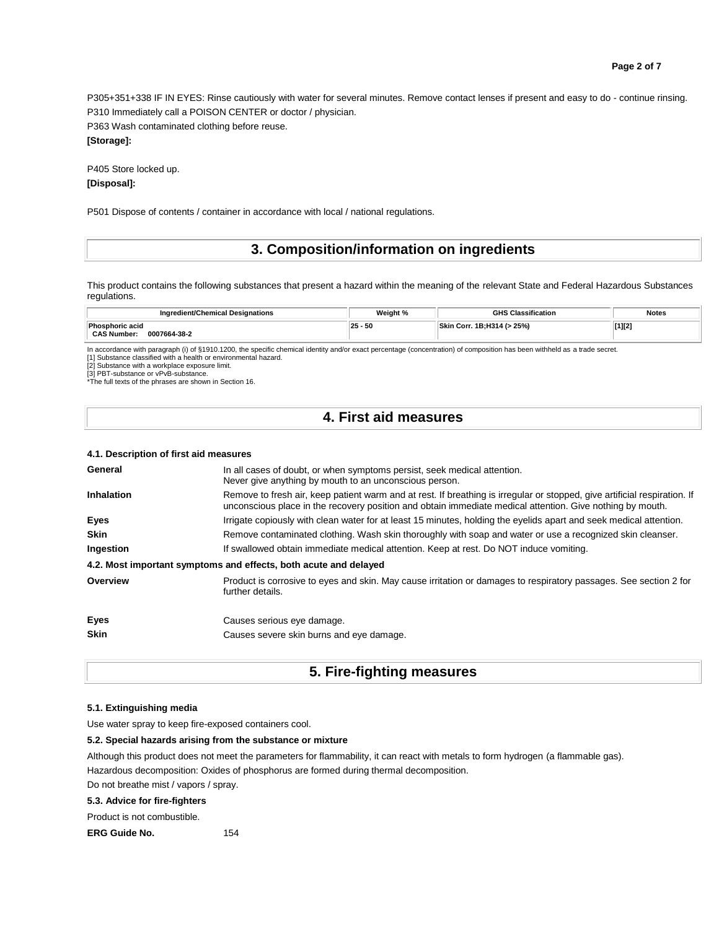**Page 2 of 7**

P305+351+338 IF IN EYES: Rinse cautiously with water for several minutes. Remove contact lenses if present and easy to do - continue rinsing. P310 Immediately call a POISON CENTER or doctor / physician.

P363 Wash contaminated clothing before reuse.

## **[Storage]:**

P405 Store locked up. **[Disposal]:** 

P501 Dispose of contents / container in accordance with local / national regulations.

## **3. Composition/information on ingredients**

This product contains the following substances that present a hazard within the meaning of the relevant State and Federal Hazardous Substances regulations.

| Ingredient/Chemical Designations                                  | Weight %   | ີ <sup>ຕ</sup> '≘ssification          | Notes<br>. |
|-------------------------------------------------------------------|------------|---------------------------------------|------------|
| <b>Phosphoric acid</b><br><b>CAS Number:</b><br>0007664-38-2<br>. | $ 25 - 50$ | $( > 25\%)$<br><b>D.U244</b><br>Corr. | $[1][2]$   |

In accordance with paragraph (i) of §1910.1200, the specific chemical identity and/or exact percentage (concentration) of composition has been withheld as a trade secret.

[1] Substance classified with a health or environmental hazard.

[2] Substance with a workplace exposure limit.

[3] PBT-substance or vPvB-substance. \*The full texts of the phrases are shown in Section 16.

## **4. First aid measures**

#### **4.1. Description of first aid measures**

| General     | In all cases of doubt, or when symptoms persist, seek medical attention.<br>Never give anything by mouth to an unconscious person.                                                                                                     |
|-------------|----------------------------------------------------------------------------------------------------------------------------------------------------------------------------------------------------------------------------------------|
| Inhalation  | Remove to fresh air, keep patient warm and at rest. If breathing is irregular or stopped, give artificial respiration. If<br>unconscious place in the recovery position and obtain immediate medical attention. Give nothing by mouth. |
| Eyes        | Irrigate copiously with clean water for at least 15 minutes, holding the eyelids apart and seek medical attention.                                                                                                                     |
| <b>Skin</b> | Remove contaminated clothing. Wash skin thoroughly with soap and water or use a recognized skin cleanser.                                                                                                                              |
| Ingestion   | If swallowed obtain immediate medical attention. Keep at rest. Do NOT induce vomiting.                                                                                                                                                 |
|             | 4.2. Most important symptoms and effects, both acute and delayed                                                                                                                                                                       |
| Overview    | Product is corrosive to eyes and skin. May cause irritation or damages to respiratory passages. See section 2 for<br>further details.                                                                                                  |
| Eyes        | Causes serious eye damage.                                                                                                                                                                                                             |
| <b>Skin</b> | Causes severe skin burns and eye damage.                                                                                                                                                                                               |

## **5. Fire-fighting measures**

### **5.1. Extinguishing media**

Use water spray to keep fire-exposed containers cool.

#### **5.2. Special hazards arising from the substance or mixture**

Although this product does not meet the parameters for flammability, it can react with metals to form hydrogen (a flammable gas). Hazardous decomposition: Oxides of phosphorus are formed during thermal decomposition.

Do not breathe mist / vapors / spray.

### **5.3. Advice for fire-fighters**

Product is not combustible.

**ERG Guide No.** 154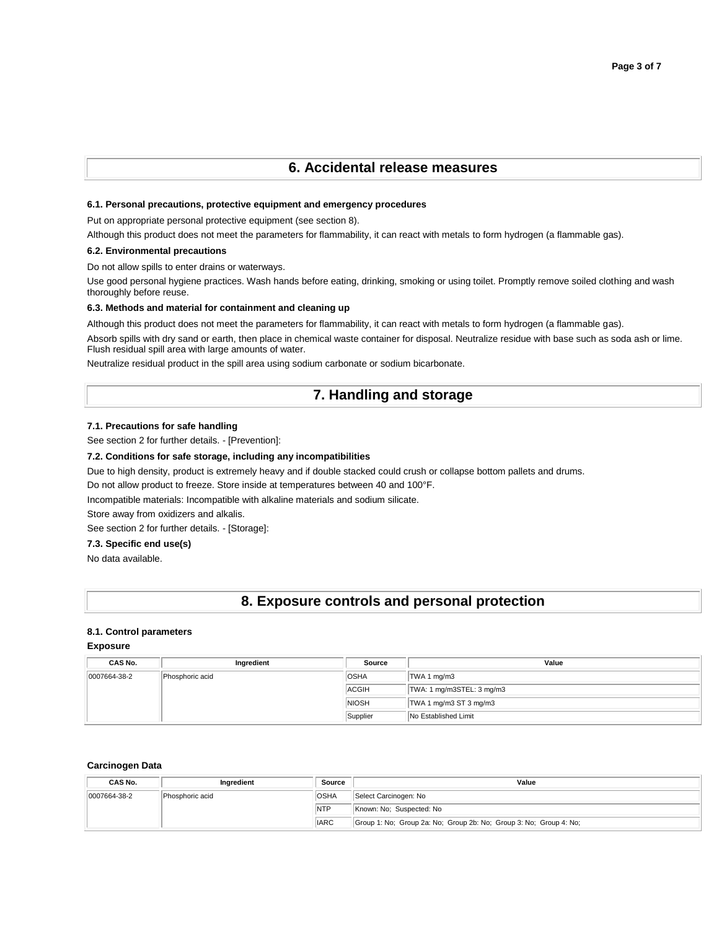## **6. Accidental release measures**

### **6.1. Personal precautions, protective equipment and emergency procedures**

Put on appropriate personal protective equipment (see section 8).

Although this product does not meet the parameters for flammability, it can react with metals to form hydrogen (a flammable gas).

### **6.2. Environmental precautions**

Do not allow spills to enter drains or waterways.

Use good personal hygiene practices. Wash hands before eating, drinking, smoking or using toilet. Promptly remove soiled clothing and wash thoroughly before reuse.

### **6.3. Methods and material for containment and cleaning up**

Although this product does not meet the parameters for flammability, it can react with metals to form hydrogen (a flammable gas).

Absorb spills with dry sand or earth, then place in chemical waste container for disposal. Neutralize residue with base such as soda ash or lime. Flush residual spill area with large amounts of water.

Neutralize residual product in the spill area using sodium carbonate or sodium bicarbonate.

## **7. Handling and storage**

### **7.1. Precautions for safe handling**

See section 2 for further details. - [Prevention]:

### **7.2. Conditions for safe storage, including any incompatibilities**

Due to high density, product is extremely heavy and if double stacked could crush or collapse bottom pallets and drums.

Do not allow product to freeze. Store inside at temperatures between 40 and 100°F.

Incompatible materials: Incompatible with alkaline materials and sodium silicate.

Store away from oxidizers and alkalis.

See section 2 for further details. - [Storage]:

### **7.3. Specific end use(s)**

No data available.

## **8. Exposure controls and personal protection**

### **8.1. Control parameters**

**Exposure** 

| CAS No.      | Ingredient      | Source       | Value                     |
|--------------|-----------------|--------------|---------------------------|
| 0007664-38-2 | Phosphoric acid | <b>OSHA</b>  | TWA 1 mg/m3               |
|              |                 | <b>ACGIH</b> | TWA: 1 mg/m3STEL: 3 mg/m3 |
|              |                 | <b>NIOSH</b> | TWA 1 mg/m3 ST 3 mg/m3    |
|              |                 | Supplier     | No Established Limit      |

#### **Carcinogen Data**

| CAS No.      | Ingredient      | <b>Source</b> | Value                                                              |
|--------------|-----------------|---------------|--------------------------------------------------------------------|
| 0007664-38-2 | Phosphoric acid | <b>OSHA</b>   | Select Carcinogen: No                                              |
|              |                 | <b>NTP</b>    | Known: No: Suspected: No                                           |
|              |                 | <b>IARC</b>   | Group 1: No; Group 2a: No; Group 2b: No; Group 3: No; Group 4: No; |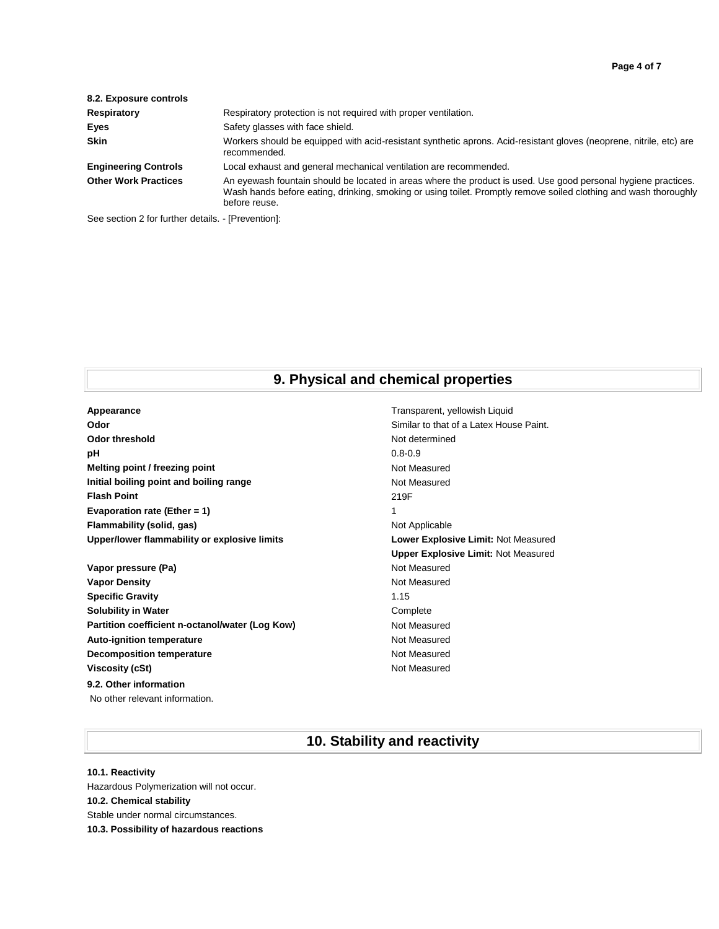| 8.2. Exposure controls      |                                                                                                                                                                                                                                                     |
|-----------------------------|-----------------------------------------------------------------------------------------------------------------------------------------------------------------------------------------------------------------------------------------------------|
| Respiratory                 | Respiratory protection is not required with proper ventilation.                                                                                                                                                                                     |
| Eyes                        | Safety glasses with face shield.                                                                                                                                                                                                                    |
| <b>Skin</b>                 | Workers should be equipped with acid-resistant synthetic aprons. Acid-resistant gloves (neoprene, nitrile, etc) are<br>recommended.                                                                                                                 |
| <b>Engineering Controls</b> | Local exhaust and general mechanical ventilation are recommended.                                                                                                                                                                                   |
| <b>Other Work Practices</b> | An eyewash fountain should be located in areas where the product is used. Use good personal hygiene practices.<br>Wash hands before eating, drinking, smoking or using toilet. Promptly remove soiled clothing and wash thoroughly<br>before reuse. |

See section 2 for further details. - [Prevention]:

# **9. Physical and chemical properties**

| Appearance                                   | Transp       |
|----------------------------------------------|--------------|
| Odor                                         | Similar      |
| Odor threshold                               | Not det      |
| рH                                           | $0.8 - 0.9$  |
| Melting point / freezing point               | Not Me       |
| Initial boiling point and boiling range      | Not Me       |
| <b>Flash Point</b>                           | 219F         |
| Evaporation rate (Ether = 1)                 | 1            |
| Flammability (solid, gas)                    | Not Ap       |
| Upper/lower flammability or explosive limits | Lower        |
|                                              | <b>Upper</b> |

Vapor pressure (Pa) and Contact Contact Contact Contact Contact Contact Contact Contact Contact Contact Contact Contact Contact Contact Contact Contact Contact Contact Contact Contact Contact Contact Contact Contact Contac **Vapor Density Not Measured** Not Measured **Specific Gravity** 1.15 **Solubility in Water** Complete Partition coefficient n-octanol/water (Log Kow) Not Measured Auto-ignition temperature **Not Auto-ignition temperature Not Measured Decomposition temperature Not Measured** Not Measured **Viscosity (cSt)** Not Measured **9.2. Other information** No other relevant information.

**Appearance** Transparent, yellowish Liquid Similar to that of a Latex House Paint. **Not determined Not Measured Not Measured Not Applicable Lower Explosive Limit: Not Measured Upper Explosive Limit:** Not Measured

# **10. Stability and reactivity**

# **10.1. Reactivity**

Hazardous Polymerization will not occur. **10.2. Chemical stability** Stable under normal circumstances. **10.3. Possibility of hazardous reactions**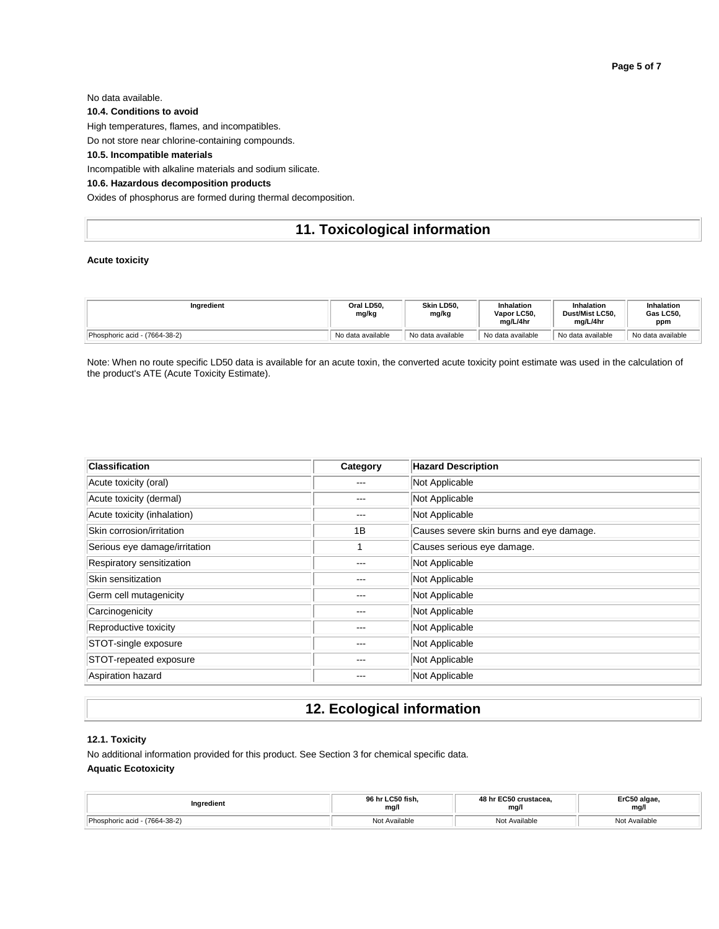No data available.

**10.4. Conditions to avoid**

High temperatures, flames, and incompatibles.

Do not store near chlorine-containing compounds.

### **10.5. Incompatible materials**

Incompatible with alkaline materials and sodium silicate.

## **10.6. Hazardous decomposition products**

Oxides of phosphorus are formed during thermal decomposition.

# **11. Toxicological information**

### **Acute toxicity**

| Ingredient                    | Oral LD50.<br>mg/kg | Skin LD50.<br>mg/kg | Inhalation<br>Vapor LC50.<br>ma/L/4hr | <b>Inhalation</b><br>Dust/Mist LC50.<br>ma/L/4hr | <b>Inhalation</b><br>Gas LC50.<br>ppm |
|-------------------------------|---------------------|---------------------|---------------------------------------|--------------------------------------------------|---------------------------------------|
| Phosphoric acid - (7664-38-2) | No data available   | No data available   | No data available                     | No data available                                | No data available                     |

Note: When no route specific LD50 data is available for an acute toxin, the converted acute toxicity point estimate was used in the calculation of the product's ATE (Acute Toxicity Estimate).

| <b>Classification</b>         | Category | <b>Hazard Description</b>                |
|-------------------------------|----------|------------------------------------------|
| Acute toxicity (oral)         |          | Not Applicable                           |
| Acute toxicity (dermal)       | $-- -$   | Not Applicable                           |
| Acute toxicity (inhalation)   | ---      | Not Applicable                           |
| Skin corrosion/irritation     | 1B       | Causes severe skin burns and eye damage. |
| Serious eye damage/irritation |          | Causes serious eye damage.               |
| Respiratory sensitization     |          | Not Applicable                           |
| Skin sensitization            |          | Not Applicable                           |
| Germ cell mutagenicity        | ---      | Not Applicable                           |
| Carcinogenicity               | ---      | Not Applicable                           |
| Reproductive toxicity         |          | Not Applicable                           |
| STOT-single exposure          |          | Not Applicable                           |
| STOT-repeated exposure        | ---      | Not Applicable                           |
| Aspiration hazard             |          | Not Applicable                           |

# **12. Ecological information**

## **12.1. Toxicity** No additional information provided for this product. See Section 3 for chemical specific data. **Aquatic Ecotoxicity**

| redient                                      | へにへ fial<br>mg/l | $\cdots$ FCEA or ustages<br>$\overline{AB}$<br>1066a<br>mg/l | ErC50 algae<br>mg/l |
|----------------------------------------------|------------------|--------------------------------------------------------------|---------------------|
| Dhochbo<br>(7664-38-2)<br>0.015<br>אוטארוויי | Available<br>Not | N <sub>0</sub><br>Available                                  | Not Ava<br>ulable   |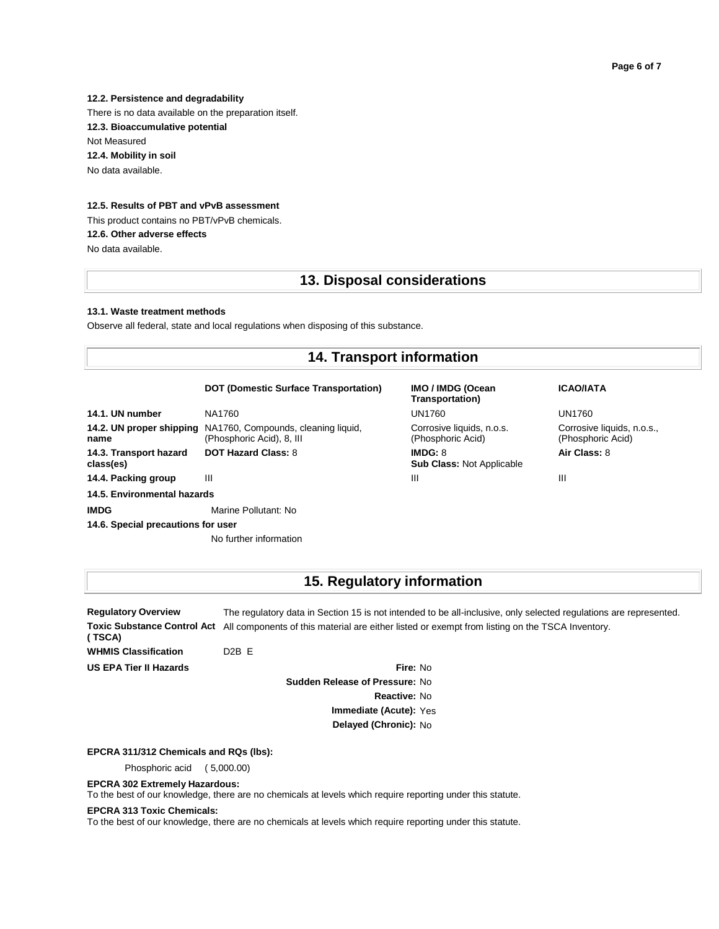**12.2. Persistence and degradability** There is no data available on the preparation itself. **12.3. Bioaccumulative potential** Not Measured **12.4. Mobility in soil** No data available.

## **12.5. Results of PBT and vPvB assessment**

This product contains no PBT/vPvB chemicals. **12.6. Other adverse effects** No data available.

## **13. Disposal considerations**

#### **13.1. Waste treatment methods**

Observe all federal, state and local regulations when disposing of this substance.

# **14. Transport information**

### **DOT (Domestic Surface Transportation) IMO / IMDG (Ocean**

| 14.1. UN number                     | NA1760                                                                                    | UN1760                                         | <b>UN1760</b>       |
|-------------------------------------|-------------------------------------------------------------------------------------------|------------------------------------------------|---------------------|
| name                                | 14.2. UN proper shipping NA1760, Compounds, cleaning liquid,<br>(Phosphoric Acid), 8, III | Corrosive liquids, n.o.s.<br>(Phosphoric Acid) | Corrosiv<br>(Phosph |
| 14.3. Transport hazard<br>class(es) | <b>DOT Hazard Class: 8</b>                                                                | IMDG: 8<br><b>Sub Class: Not Applicable</b>    | <b>Air Clas</b>     |
| 14.4. Packing group                 | Ш                                                                                         | Ш                                              | Ш                   |
| 14.5. Environmental hazards         |                                                                                           |                                                |                     |
| <b>IMDG</b>                         | Marine Pollutant: No                                                                      |                                                |                     |
| 14.6. Special precautions for user  |                                                                                           |                                                |                     |
|                                     | No further information                                                                    |                                                |                     |

**Transportation)** Corrosive liquids, n.o.s. (Phosphoric Acid)

**ICAO/IATA**

Corrosive liquids, n.o.s., (Phosphoric Acid)

**Air Class:** 8

# **15. Regulatory information**

**Regulatory Overview** The regulatory data in Section 15 is not intended to be all-inclusive, only selected regulations are represented. Toxic Substance Control Act All components of this material are either listed or exempt from listing on the TSCA Inventory. **( TSCA) WHMIS Classification** D2B E

**US EPA Tier II Hazards Fire:** No **Sudden Release of Pressure:** No **Reactive:** No **Immediate (Acute):** Yes **Delayed (Chronic):** No

**EPCRA 311/312 Chemicals and RQs (lbs):**

Phosphoric acid ( 5,000.00)

**EPCRA 302 Extremely Hazardous:**

To the best of our knowledge, there are no chemicals at levels which require reporting under this statute.

#### **EPCRA 313 Toxic Chemicals:**

To the best of our knowledge, there are no chemicals at levels which require reporting under this statute.